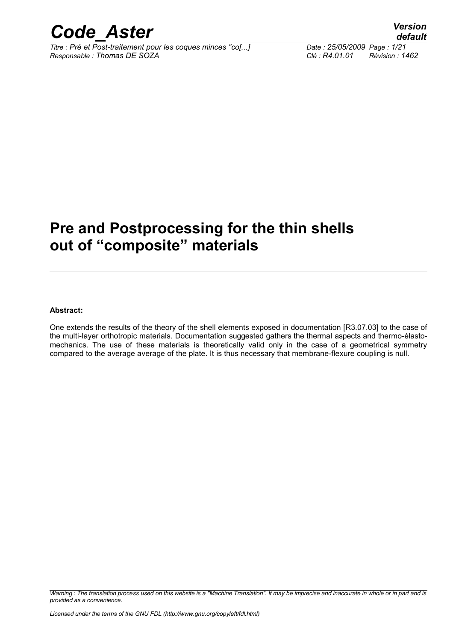

*Titre : Pré et Post-traitement pour les coques minces "co[...] Date : 25/05/2009 Page : 1/21 Responsable : Thomas DE SOZA Clé : R4.01.01 Révision : 1462*

### **Pre and Postprocessing for the thin shells out of "composite" materials**

#### **Abstract:**

One extends the results of the theory of the shell elements exposed in documentation [R3.07.03] to the case of the multi-layer orthotropic materials. Documentation suggested gathers the thermal aspects and thermo-élastomechanics. The use of these materials is theoretically valid only in the case of a geometrical symmetry compared to the average average of the plate. It is thus necessary that membrane-flexure coupling is null.

*Warning : The translation process used on this website is a "Machine Translation". It may be imprecise and inaccurate in whole or in part and is provided as a convenience.*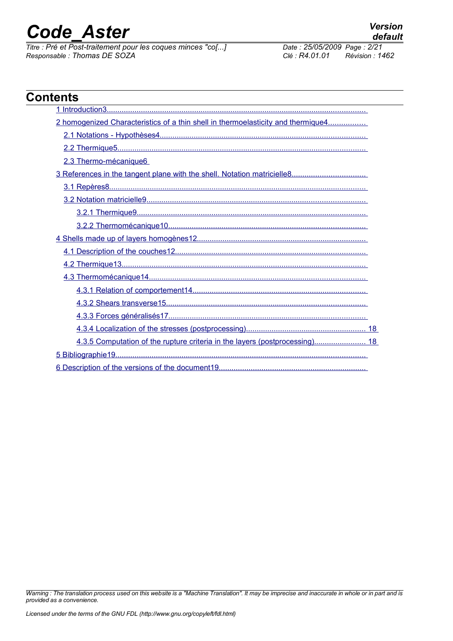*Titre : Pré et Post-traitement pour les coques minces "co[...] Date : 25/05/2009 Page : 2/21 Responsable : Thomas DE SOZA Clé : R4.01.01 Révision : 1462*

| 2 homogenized Characteristics of a thin shell in thermoelasticity and thermique4 |  |
|----------------------------------------------------------------------------------|--|
|                                                                                  |  |
|                                                                                  |  |
|                                                                                  |  |
| 2.3 Thermo-mécanique6                                                            |  |
|                                                                                  |  |
|                                                                                  |  |
|                                                                                  |  |
|                                                                                  |  |
|                                                                                  |  |
|                                                                                  |  |
|                                                                                  |  |
|                                                                                  |  |
|                                                                                  |  |
|                                                                                  |  |
|                                                                                  |  |
|                                                                                  |  |
|                                                                                  |  |
| 4.3.5 Computation of the rupture criteria in the layers (postprocessing) 18      |  |
|                                                                                  |  |

*Warning : The translation process used on this website is a "Machine Translation". It may be imprecise and inaccurate in whole or in part and is provided as a convenience.*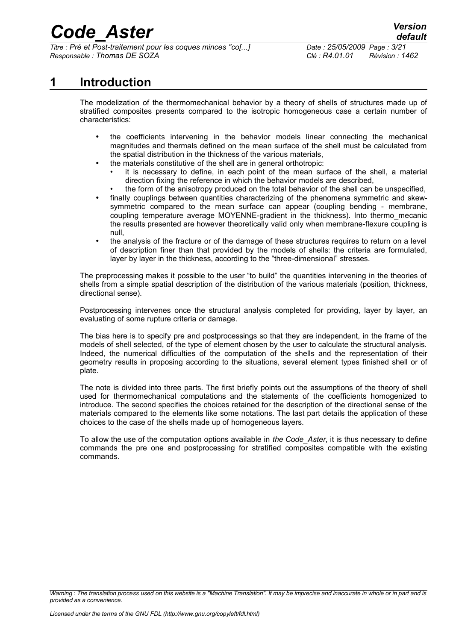*Titre : Pré et Post-traitement pour les coques minces "co[...] Date : 25/05/2009 Page : 3/21 Responsable : Thomas DE SOZA Clé : R4.01.01 Révision : 1462*

#### **1 Introduction**

<span id="page-2-0"></span>The modelization of the thermomechanical behavior by a theory of shells of structures made up of stratified composites presents compared to the isotropic homogeneous case a certain number of characteristics:

- the coefficients intervening in the behavior models linear connecting the mechanical magnitudes and thermals defined on the mean surface of the shell must be calculated from the spatial distribution in the thickness of the various materials,
- the materials constitutive of the shell are in general orthotropic:
	- it is necessary to define, in each point of the mean surface of the shell, a material direction fixing the reference in which the behavior models are described,
	- the form of the anisotropy produced on the total behavior of the shell can be unspecified,
- finally couplings between quantities characterizing of the phenomena symmetric and skewsymmetric compared to the mean surface can appear (coupling bending - membrane, coupling temperature average MOYENNE-gradient in the thickness). Into thermo\_mecanic the results presented are however theoretically valid only when membrane-flexure coupling is null,
- the analysis of the fracture or of the damage of these structures requires to return on a level of description finer than that provided by the models of shells: the criteria are formulated, layer by layer in the thickness, according to the "three-dimensional" stresses.

The preprocessing makes it possible to the user "to build" the quantities intervening in the theories of shells from a simple spatial description of the distribution of the various materials (position, thickness, directional sense).

Postprocessing intervenes once the structural analysis completed for providing, layer by layer, an evaluating of some rupture criteria or damage.

The bias here is to specify pre and postprocessings so that they are independent, in the frame of the models of shell selected, of the type of element chosen by the user to calculate the structural analysis. Indeed, the numerical difficulties of the computation of the shells and the representation of their geometry results in proposing according to the situations, several element types finished shell or of plate.

The note is divided into three parts. The first briefly points out the assumptions of the theory of shell used for thermomechanical computations and the statements of the coefficients homogenized to introduce. The second specifies the choices retained for the description of the directional sense of the materials compared to the elements like some notations. The last part details the application of these choices to the case of the shells made up of homogeneous layers.

To allow the use of the computation options available in *the Code\_Aster*, it is thus necessary to define commands the pre one and postprocessing for stratified composites compatible with the existing commands.

*Warning : The translation process used on this website is a "Machine Translation". It may be imprecise and inaccurate in whole or in part and is provided as a convenience.*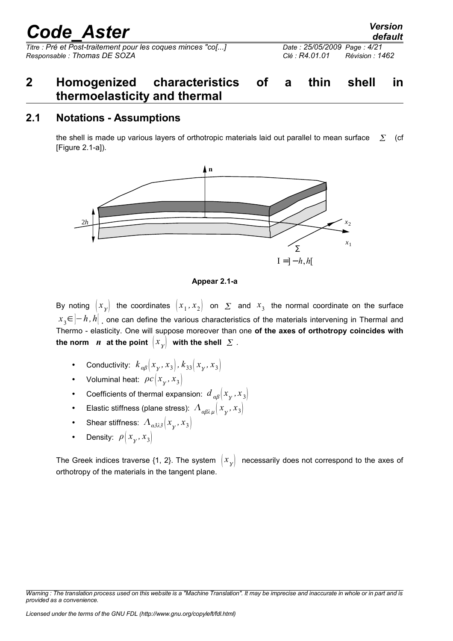*Titre : Pré et Post-traitement pour les coques minces "co[...] Date : 25/05/2009 Page : 4/21 Responsable : Thomas DE SOZA Clé : R4.01.01 Révision : 1462*

### <span id="page-3-1"></span>**2 Homogenized characteristics of a thin shell in thermoelasticity and thermal**

#### **2.1 Notations - Assumptions**

<span id="page-3-0"></span>the shell is made up various layers of orthotropic materials laid out parallel to mean surface  $\Sigma$  (cf [Figure 2.1-a]).



**Appear 2.1-a**

By noting  $\big| x_{_Y}\big|$  the coordinates  $\big| x_{_1},x_{_2}\big|$  on  $\varSigma$  and  $x_{_3}$  the normal coordinate on the surface *x*<sub>3</sub>∈ $\left]-h$  *,h* $\right|$  one can define the various characteristics of the materials intervening in Thermal and Thermo - elasticity. One will suppose moreover than one **of the axes of orthotropy coincides with** the norm  $\;$   $\;$   $\;$   $\;$  at the point  $\;$   $\left\vert x_{_{\mathcal{Y}}}\right\vert \;$  with the shell  $\;$   $\;$   $\;$   $\;$   $\;$   $\;$ 

- Conductivity:  $k_{\alpha\beta}(x_{\gamma}, x_{3}), k_{33}(x_{\gamma}, x_{3})$
- Voluminal heat:  $\rho c |x_{\gamma}, x_3|$
- Coefficients of thermal expansion:  $d_{\alpha\beta}(x_{\gamma},x_3)$
- Elastic stiffness (plane stress):  $A_{\alpha\beta\lambda\mu}(x_{\gamma},x_3)$
- Shear stiffness:  $A_{\alpha\beta\lambda\beta}$   $(x_{\gamma}, x_{3})$
- Density:  $\rho \left| x_{\gamma}, x_3 \right|$

The Greek indices traverse {1, 2}. The system  $\ket{x_{\overline{\chi}}}$  necessarily does not correspond to the axes of orthotropy of the materials in the tangent plane.

*Warning : The translation process used on this website is a "Machine Translation". It may be imprecise and inaccurate in whole or in part and is provided as a convenience.*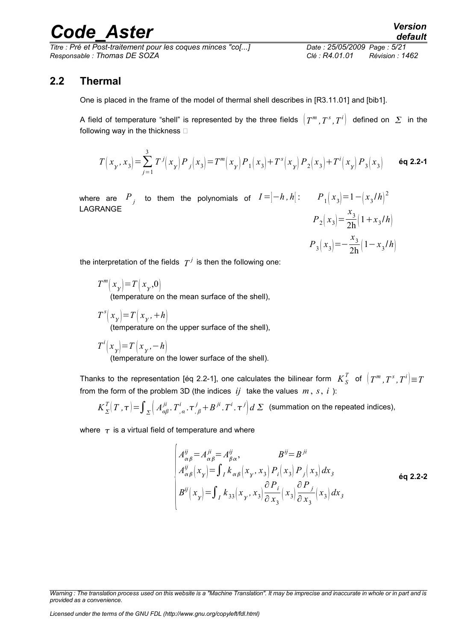*Titre : Pré et Post-traitement pour les coques minces "co[...] Date : 25/05/2009 Page : 5/21 Responsable : Thomas DE SOZA Clé : R4.01.01 Révision : 1462*

#### **2.2 Thermal**

<span id="page-4-0"></span>One is placed in the frame of the model of thermal shell describes in [R3.11.01] and [bib1].

A field of temperature "shell" is represented by the three fields  $\left(T^{m},T^{s},T^{i}\right)$  defined on  $\,\Sigma\,$  in the following way in the thickness  $\Box$ 

$$
T(x_y, x_3) = \sum_{j=1}^3 T^j(x_y) P_j(x_3) = T^m(x_y) P_1(x_3) + T^s(x_y) P_2(x_3) + T^i(x_y) P_3(x_3)
$$
 6q 2.2-1

where are  $P_{\overline{j}}$  to them the polynomials of  $I = ]-h$ ,  $h[$  :  $P_{\overline{1}}(x_3)$   $=$   $1-({x_3}/{h})^2$ LAGRANGE

$$
P_2(x_3) = \frac{x_3}{2h} (1 + x_3/h)
$$
  

$$
P_3(x_3) = -\frac{x_3}{2h} (1 - x_3/h)
$$

the interpretation of the fields  $|T^j|$  is then the following one:

- *T m*  $(x_{y}) = T(x_{y},0)$ (temperature on the mean surface of the shell).
- *T s*  $(x_{\gamma})=T(x_{\gamma},+h)$ (temperature on the upper surface of the shell),
- *T i*  $(x_{\gamma})=T(x_{\gamma},-h)$

(temperature on the lower surface of the shell).

Thanks to the representation [éq 2.2-1], one calculates the bilinear form  $\ K^T_S$  of  $\left[\ T^m,\ T^s,\ T^i\right]\equiv T$ from the form of the problem 3D (the indices  $ij$  take the values  $m, s, i$ ):

$$
K_{\Sigma}^{T}\left(T,\tau\right)=\int_{\Sigma}\left(A^{ji}_{\alpha\beta},T^{i}_{,\alpha},\tau^{j}_{,\beta}+B^{ji}_{,\alpha}T^{i}_{,\alpha},\tau^{j}\right)d\Sigma\quad\text{(summation on the repeated indices),}
$$

where  $\tau$  is a virtual field of temperature and where

$$
\begin{cases}\nA_{\alpha\beta}^{ij} = A_{\alpha\beta}^{ji} = A_{\beta\alpha}^{ij}, & B^{ij} = B^{ji} \\
A_{\alpha\beta}^{ij} \left(x_y\right) = \int_I k_{\alpha\beta} \left(x_y, x_3\right) P_i \left(x_3\right) P_j \left(x_3\right) dx_3 \\
B^{ij} \left(x_y\right) = \int_I k_{33} \left(x_y, x_3\right) \frac{\partial P_i}{\partial x_3} \left(x_3\right) \frac{\partial P_j}{\partial x_3} \left(x_3\right) dx_3\n\end{cases}
$$
 6q 2.2-2

*Warning : The translation process used on this website is a "Machine Translation". It may be imprecise and inaccurate in whole or in part and is provided as a convenience.*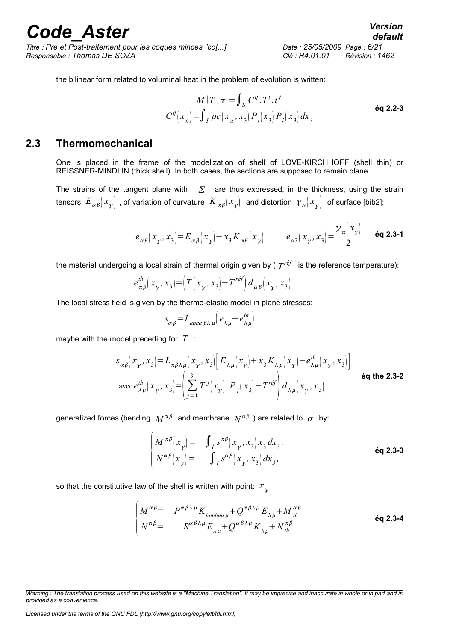*Titre : Pré et Post-traitement pour les coques minces "co[...] Date : 25/05/2009 Page : 6/21 Responsable : Thomas DE SOZA Clé : R4.01.01 Révision : 1462*

*x x x* 

*default*

the bilinear form related to voluminal heat in the problem of evolution is written:

$$
M(T, \tau) = \int_{S} C^{ij} . T^{i} . t^{j}
$$
  
\n
$$
C^{ij} (x_g) = \int_{I} \rho c (x_g, x_3) P_i(x_3) P_i(x_3) dx_3
$$

#### **2.3 Thermomechanical**

<span id="page-5-0"></span>One is placed in the frame of the modelization of shell of LOVE-KIRCHHOFF (shell thin) or REISSNER-MINDLIN (thick shell). In both cases, the sections are supposed to remain plane.

The strains of the tangent plane with  $\sum$  are thus expressed, in the thickness, using the strain tensors  $\,E_{\,\alpha\,\beta}[\,x_{_{\cal Y}}]\,$  , of variation of curvature  $\,K_{\,\alpha\,\beta}[\,x_{_{\cal Y}}]\,$  and distortion  $\,{{\cal Y}_{\alpha}}[\,x_{_{\cal Y}}]\,$  of surface [bib2]:

$$
e_{\alpha\beta}\left(x_y, x_3\right) = E_{\alpha\beta}\left(x_y\right) + x_3 K_{\alpha\beta}\left(x_y\right) \qquad e_{\alpha3}\left(x_y, x_3\right) = \frac{\gamma_\alpha\left(x_y\right)}{2} \qquad \text{6q 2.3-1}
$$

the material undergoing a local strain of thermal origin given by (  $T^{r\acute{e}f^-}$  is the reference temperature):

$$
e_{\alpha\beta}^{th}(x_{\gamma}, x_{3}) = \left(T(x_{\gamma}, x_{3}) - T^{r\epsilon f}\right) d_{\alpha\beta}(x_{\gamma}, x_{3})
$$

The local stress field is given by the thermo-elastic model in plane stresses:

$$
S_{\alpha\beta} = L_{\alpha p h a \beta \lambda \mu} \Big( e_{\lambda \mu} - e_{\lambda \mu}^{th} \Big)
$$

maybe with the model preceding for *T* :

$$
s_{\alpha\beta}\left(x_{\gamma}, x_{3}\right) = L_{\alpha\beta\lambda\mu}\left(x_{\gamma}, x_{3}\right)\left[E_{\lambda\mu}\left(x_{\gamma}\right) + x_{3}K_{\lambda\mu}\left(x_{\gamma}\right) - e_{\lambda\mu}^{th}\left(x_{\gamma}, x_{3}\right)\right]
$$
  
avec  $e_{\lambda\mu}^{th}\left(x_{\gamma}, x_{3}\right) = \left(\sum_{j=1}^{3} T^{j}\left(x_{\gamma}\right).P_{j}\left(x_{3}\right) - T^{ref}\right)d_{\lambda\mu}\left(x_{\gamma}, x_{3}\right)$  éq the 2.3-2

generalized forces (bending  $\,M^{\alpha\beta}\,$  and membrane  $\,N^{\alpha\beta}\,$  ) are related to  $\,\sigma\,$  by:

$$
\begin{cases}\nM^{\alpha\beta}\left(x_{y}\right) = \int_{I} s^{\alpha\beta}\left(x_{y}, x_{3}\right) x_{3} dx_{3}, \\
N^{\alpha\beta}\left(x_{y}\right) = \int_{I} s^{\alpha\beta}\left(x_{y}, x_{3}\right) dx_{3},\n\end{cases}
$$
\n6q 2.3-3

so that the constitutive law of the shell is written with point:  $\overline{x}_{\overline{\chi}}$ 

$$
\begin{vmatrix}\nM^{\alpha\beta} = P^{\alpha\beta\lambda\mu} K_{\lambda\alpha\beta\alpha\mu} + Q^{\alpha\beta\lambda\mu} E_{\lambda\mu} + M^{\alpha\beta}_{\mu} \\
N^{\alpha\beta} = R^{\alpha\beta\lambda\mu} E_{\lambda\mu} + Q^{\alpha\beta\lambda\mu} K_{\lambda\mu} + N^{\alpha\beta}_{\mu}\n\end{vmatrix}
$$
 6q 2.3-4

*Licensed under the terms of the GNU FDL (http://www.gnu.org/copyleft/fdl.html)*

*Warning : The translation process used on this website is a "Machine Translation". It may be imprecise and inaccurate in whole or in part and is provided as a convenience.*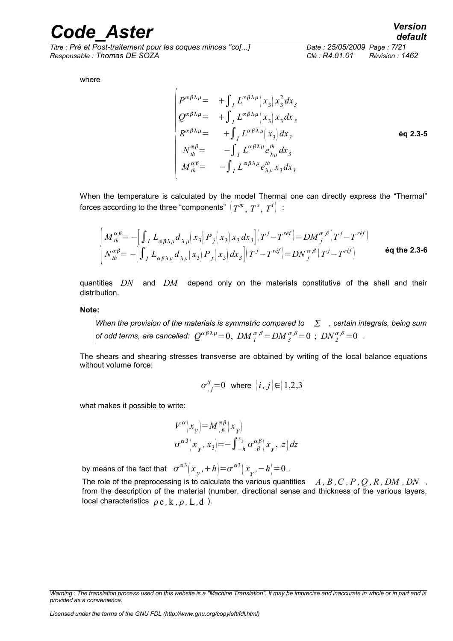*Titre : Pré et Post-traitement pour les coques minces "co[...] Date : 25/05/2009 Page : 7/21 Responsable : Thomas DE SOZA Clé : R4.01.01 Révision : 1462*

*default*

where

$$
\begin{vmatrix}\nP^{\alpha\beta\lambda\mu} = + \int_{I} L^{\alpha\beta\lambda\mu} (x_{3}) x_{3}^{2} dx_{3} \\
Q^{\alpha\beta\lambda\mu} = + \int_{I} L^{\alpha\beta\lambda\mu} (x_{3}) x_{3} dx_{3} \\
R^{\alpha\beta\lambda\mu} = + \int_{I} L^{\alpha\beta\lambda\mu} (x_{3}) dx_{3} \\
N^{\alpha\beta}_{th} = - \int_{I} L^{\alpha\beta\lambda\mu} e_{\lambda\mu}^{th} dx_{3} \\
M^{\alpha\beta}_{th} = - \int_{I} L^{\alpha\beta\lambda\mu} e_{\lambda\mu}^{th} x_{3} dx_{3}\n\end{vmatrix}
$$

When the temperature is calculated by the model Thermal one can directly express the "Thermal" forces according to the three "components"  $\left(\right. T^{m},\, T^{s},\, T^{i} \right)$   $\,$ :

$$
\begin{cases}\nM_{th}^{\alpha\beta} = -\Big[\int_{I} L_{\alpha\beta\lambda\mu} d_{\lambda\mu} \Big(x_{3}\Big) P_{j} \Big(x_{3}\Big) x_{3} dx_{3}\Big] \Big(T^{j} - T^{r\acute{e}f}\Big) = DM_{j}^{\alpha\beta} \Big(T^{j} - T^{r\acute{e}f}\Big) \\
N_{th}^{\alpha\beta} = -\Big[\int_{I} L_{\alpha\beta\lambda\mu} d_{\lambda\mu} \Big(x_{3}\Big) P_{j} \Big(x_{3}\Big) dx_{3}\Big] \Big(T^{j} - T^{r\acute{e}f}\Big) = DN_{j}^{\alpha\beta} \Big(T^{j} - T^{r\acute{e}f}\Big)\n\end{cases}
$$

quantities *DN* and *DM* depend only on the materials constitutive of the shell and their distribution.

**Note:**

*When the provision of the materials is symmetric compared to*  $\sum$ , certain integrals, being sum *of odd terms, are cancelled:*  $Q^{\alpha\beta\lambda\mu}=0$ *,*  ${DM}^{\alpha\beta}_{1} = {DM}^{\alpha\beta}_{3} = 0$  *;*  ${DN}^{\alpha\beta}_{2} = 0$  *.* 

The shears and shearing stresses transverse are obtained by writing of the local balance equations without volume force:

$$
\sigma_{,j}^{ij} = 0 \text{ where } [i,j] \in [1,2,3]
$$

what makes it possible to write:

$$
V^{\alpha}\left(x_{y}\right) = M^{\alpha\beta}_{,\beta}\left(x_{y}\right)
$$

$$
\sigma^{\alpha\beta}\left(x_{y}, x_{3}\right) = -\int_{-h}^{x_{3}} \sigma^{\alpha\beta}_{,\beta}\left(x_{y}, z\right) dz
$$

by means of the fact that  $\ \sigma^{\alpha\beta}$  $(x_{\gamma}$ <sup>*,*+*h* $)$ = $\sigma^{\alpha3}$ </sup>  $(x_{\gamma}$ <sup>*,*−*h* $)$ =0 .</sup>

The role of the preprocessing is to calculate the various quantities  $A, B, C, P, Q, R, DM, DN$ , from the description of the material (number, directional sense and thickness of the various layers, local characteristics  $\rho c$ , k,  $\rho$ , L, d).

*Warning : The translation process used on this website is a "Machine Translation". It may be imprecise and inaccurate in whole or in part and is provided as a convenience.*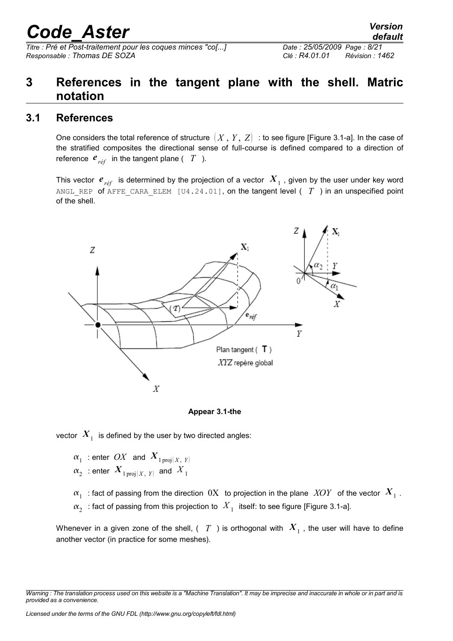*Titre : Pré et Post-traitement pour les coques minces "co[...] Date : 25/05/2009 Page : 8/21 Responsable : Thomas DE SOZA Clé : R4.01.01 Révision : 1462*

### <span id="page-7-1"></span>**3 References in the tangent plane with the shell. Matric notation**

#### **3.1 References**

<span id="page-7-0"></span>One considers the total reference of structure  $(X, Y, Z)$  : to see figure [Figure 3.1-a]. In the case of the stratified composites the directional sense of full-course is defined compared to a direction of reference  $e_{r\acute{e}f}$  in the tangent plane (  $T$  ).

This vector  $\bm{e}_{\textit{ref}}$  is determined by the projection of a vector  $\bm{X}_{1}$  , given by the user under key word ANGL\_REP of AFFE\_CARA\_ELEM [U4.24.01], on the tangent level ( *T* ) in an unspecified point of the shell.



**Appear 3.1-the**

vector  $\left|X_{_{1}}\right|$  is defined by the user by two directed angles:

 $\alpha_1$  : enter  $\overline{OX}$  and  $\overline{X}_{1\,\mathrm{proj}(X,\;Y)}$  $\alpha_{2}^{\phantom{\dag}}$  : enter  $\boldsymbol{X}_{1\,\mathrm{proj}(X,\phantom{X},Y)}$  and  $\overline{X}_{1}^{\phantom{\dag}}$ 

 $\alpha_1^-$  : fact of passing from the direction  $\ 0\text{X}_-$  to projection in the plane  $\ KV$  of the vector  $\ K^-_1$  .

 $\alpha_{2}^{+}$  : fact of passing from this projection to  $\left. X_{+}\right.$  itself: to see figure [Figure 3.1-a].

Whenever in a given zone of the shell, ( $\,$   $T$   $\,$  ) is orthogonal with  $\,X_{_1}$  , the user will have to define another vector (in practice for some meshes).

*Warning : The translation process used on this website is a "Machine Translation". It may be imprecise and inaccurate in whole or in part and is provided as a convenience.*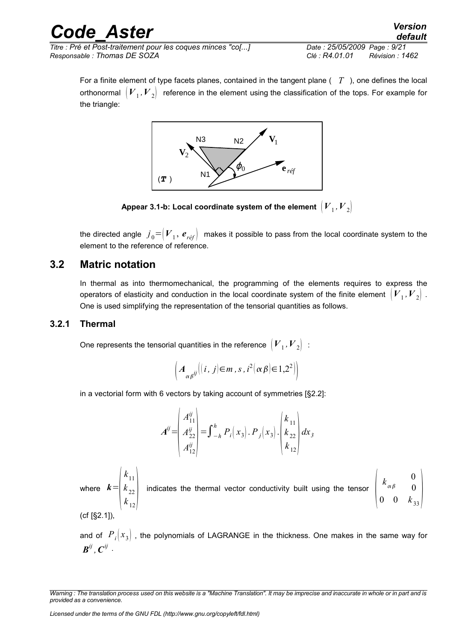| <b>Code Aster</b>                                           | <b>Version</b><br>default         |
|-------------------------------------------------------------|-----------------------------------|
| Titre : Pré et Post-traitement pour les coques minces "co[] | Date: 25/05/2009 Page: 9/21       |
| Responsable : Thomas DE SOZA                                | Clé : R4.01.01<br>Révision : 1462 |

For a finite element of type facets planes, contained in the tangent plane ( *T* ), one defines the local orthonormal  $\,\left[ {V}_{{}_1},{V}_{{}_2}\right]\,$  reference in the element using the classification of the tops. For example for the triangle:



Appear 3.1-b: Local coordinate system of the element  $\left| {V}_{1},{V}_{2} \right|$ 

the directed angle  $\left. j\right._{0} = \mid\!\!V_{\perp},\,\bm{e}_{r\acute{e}f}\!\!\mid\,$  makes it possible to pass from the local coordinate system to the element to the reference of reference.

#### **3.2 Matric notation**

<span id="page-8-1"></span>In thermal as into thermomechanical, the programming of the elements requires to express the operators of elasticity and conduction in the local coordinate system of the finite element  $\,\left|\,V_{\,-1},V_{\,2}\right|$  . One is used simplifying the representation of the tensorial quantities as follows.

#### **3.2.1 Thermal**

<span id="page-8-0"></span>One represents the tensorial quantities in the reference  $\left[{V}_{{}_1},{V}_{{}_2}\right]$  :

$$
\left(A_{\alpha\beta}^{ij}\left((i,j)\in m, s, i^2\left(\alpha\beta\right)\in 1,2^2\right)\right)
$$

in a vectorial form with 6 vectors by taking account of symmetries [§2.2]:

$$
A^{ij} = \begin{pmatrix} A_{11}^{ij} \\ A_{22}^{ij} \\ A_{12}^{ij} \end{pmatrix} = \int_{-h}^{h} P_i(x_3) \cdot P_j(x_3) \cdot \begin{pmatrix} k_{11} \\ k_{22} \\ k_{12} \end{pmatrix} dx_3
$$

where *k*=  $\left| \right|_k$  $k_{11}$  $\begin{vmatrix} k_{22} \\ k_{12} \end{vmatrix}$  in indicates the thermal vector conductivity built using the tensor  $\vert 0 \vert$  $k_{\alpha\beta}$ 0  $\boldsymbol{0}$  $0 \t 0 \t k_{33}$  $(cf [§2.1])$ 

and of  $P_i(x_3)$ , the polynomials of LAGRANGE in the thickness. One makes in the same way for  $\bm{B}^{ij}$  ,  $\bm{C}^{ij}$  .

*Warning : The translation process used on this website is a "Machine Translation". It may be imprecise and inaccurate in whole or in part and is provided as a convenience.*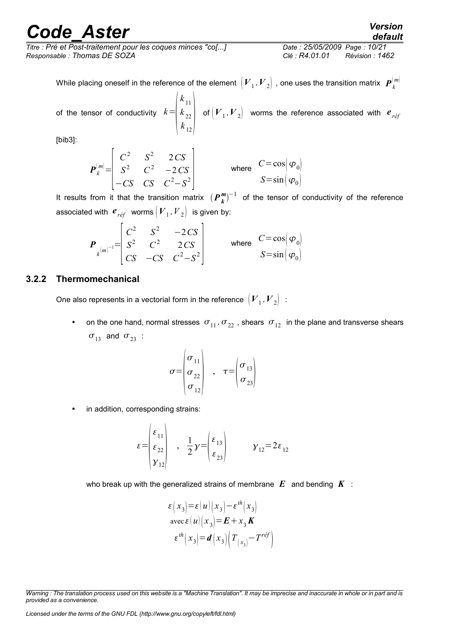*Titre : Pré et Post-traitement pour les coques minces "co[...] Date : 25/05/2009 Page : 10/21 Responsable : Thomas DE SOZA Clé : R4.01.01 Révision : 1462*

While placing oneself in the reference of the element  $\left({\bm V}_{1},{\bm V}_{2}\right)$  , one uses the transition matrix  $\left.{\bm P}_{k}^{[m]}\right.$ 

of the tensor of conductivity *k*=  $\left| \right|_k$  $k_{11}$  $\begin{vmatrix} k_{22} \\ k_{12} \end{vmatrix}$  o of  $(V_1, V_2)$  worms the reference associated with  $e_{r\acute{e}f}$ 

[bib3]:

$$
\boldsymbol{P}_{k}^{[m]} = \begin{bmatrix} C^{2} & S^{2} & 2\,CS \\ S^{2} & C^{2} & -2\,CS \\ -CS & CS & C^{2} - S^{2} \end{bmatrix} \qquad \text{where} \quad \begin{aligned} C = \cos(\varphi_{0}) \\ S = \sin(\varphi_{0}) \end{aligned}
$$

It results from it that the transition matrix  $(P_k^m)^{-1}$  of the tensor of conductivity of the reference associated with  $\bm{e}_{\it ref}^{\vphantom{\dagger}}$  worms  $\left(\bm{V}_{1}^{\vphantom{\dagger}},\bm{V}_{2}^{\vphantom{\dagger}}\right)$  is given by:

$$
\boldsymbol{P}_{k^{[m]^{-1}}} = \begin{bmatrix} C^2 & S^2 & -2\,CS \\ S^2 & C^2 & 2\,CS \\ CS & -CS & C^2 - S^2 \end{bmatrix} \qquad \text{where} \quad \begin{aligned} C &= \cos(\varphi_0) \\ S &= \sin(\varphi_0) \end{aligned}
$$

#### **3.2.2 Thermomechanical**

<span id="page-9-0"></span>One also represents in a vectorial form in the reference  $\left[{V}_{{}_1},{V}_{{}_2}\right]$  :

• on the one hand, normal stresses  $\sigma_{11}$ ,  $\sigma_{22}$ , shears  $\sigma_{12}$  in the plane and transverse shears  $\sigma_{13}$  and  $\sigma_{23}$  :

$$
\sigma = \begin{pmatrix} \sigma_{11} \\ \sigma_{22} \\ \sigma_{12} \end{pmatrix} , \quad \tau = \begin{pmatrix} \sigma_{13} \\ \sigma_{23} \end{pmatrix}
$$

in addition, corresponding strains:

$$
\varepsilon = \begin{pmatrix} \varepsilon_{11} \\ \varepsilon_{22} \\ \gamma_{12} \end{pmatrix} , \frac{1}{2} \gamma = \begin{pmatrix} \varepsilon_{13} \\ \varepsilon_{23} \end{pmatrix} \qquad \gamma_{12} = 2\varepsilon_{12}
$$

who break up with the generalized strains of membrane *E* and bending *K* :

$$
\varepsilon\left(x_{3}\right)=\varepsilon\left(u\right)\left(x_{3}\right)-\varepsilon^{th}\left(x_{3}\right)
$$

$$
\operatorname{avec}\varepsilon\left(u\right)\left(x_{3}\right)=\mathbf{E}+x_{3}\mathbf{K}
$$

$$
\varepsilon^{th}\left(x_{3}\right)=\mathbf{d}\left(x_{3}\right)\left(\mathbf{T}_{\left(x_{3}\right)}-\mathbf{T}^{\text{ref}}\right)
$$

*Warning : The translation process used on this website is a "Machine Translation". It may be imprecise and inaccurate in whole or in part and is provided as a convenience.*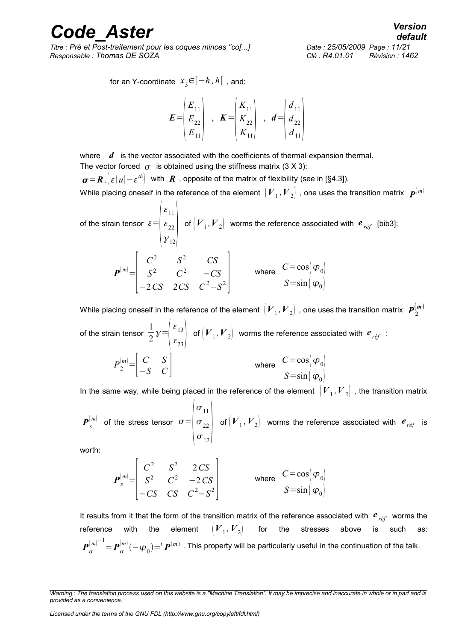*Titre : Pré et Post-traitement pour les coques minces "co[...] Date : 25/05/2009 Page : 11/21 Responsable : Thomas DE SOZA Clé : R4.01.01 Révision : 1462*

for an Y-coordinate *x* 3 ∈]−*h ,h*[ , and:

$$
E = \begin{pmatrix} E_{11} \\ E_{22} \\ E_{11} \end{pmatrix} , K = \begin{pmatrix} K_{11} \\ K_{22} \\ K_{11} \end{pmatrix} , d = \begin{pmatrix} d_{11} \\ d_{22} \\ d_{11} \end{pmatrix}
$$

where *d* is the vector associated with the coefficients of thermal expansion thermal. The vector forced  $\sigma$  is obtained using the stiffness matrix (3 X 3):

 $\bm{\sigma}\!=\!\bm{R}$  . $\bigl|\,\varepsilon\,(u)\!-\!\varepsilon^{th}\bigr|$  with  $\bm{R}$  , opposite of the matrix of flexibility (see in [§4.3]).

While placing oneself in the reference of the element  $\,big| \, {V}_1, {V}_2 \big| \,$  , one uses the transition matrix  $\,$   $\bm{P}^{(\,m)}$ 

of the strain tensor  $\varepsilon =$  $\vert v \vert$  $\varepsilon_{11}$  $\begin{vmatrix} \varepsilon_{22} \\ y_{12} \end{vmatrix}$  of of  $(V_1, V_2)$  worms the reference associated with  $e_{ref}$  [bib3]:  $P^{(m)} =$  $\vert \cdot \vert$  $C^2$  *S*<sup>2</sup> *CS*  $S^2$  *C*<sup>2</sup> −*CS*  $-2CS$   $2CS$   $C^2-S^2$ where  $C = \cos{\phi_0}$  $S = \sin \left( \varphi_0 \right)$ 

While placing oneself in the reference of the element  $\left({V}_1,{V}_2\right)$  , one uses the transition matrix  $\,{\bm P}_2^{(\bm m)}$ of the strain tensor 1 2  $y=$ ع |  $\epsilon_{13}$  $\epsilon_{23}$ of  $(V_1, V_2)$  worms the reference associated with  $e_{ref}$ :

$$
P_2^{[m]} = \begin{bmatrix} C & S \\ -S & C \end{bmatrix}
$$
 where  $C = \cos(\varphi_0)$   
  $S = \sin(\varphi_0)$ 

In the same way, while being placed in the reference of the element  $\,\left|\,V_{\,1},V_{\,2}\right|$  , the transition matrix

 $\boldsymbol{P}^{(m)}_{s}$  of the stress tensor  $\sigma{=}$  $\vert \sigma \vert$  $\sigma_{11}$  $\sigma_{22}$  $\sigma_{12}$ of  $(V_1, V_2)$  worms the reference associated with  $e_{ref}$  is

worth:

$$
\boldsymbol{P}_{s}^{[m]} = \begin{bmatrix} C^{2} & S^{2} & 2\,CS \\ S^{2} & C^{2} & -2\,CS \\ -CS & CS & C^{2}-S^{2} \end{bmatrix} \qquad \text{where} \quad \begin{array}{c} C = \cos(\varphi_{0}) \\ S = \sin(\varphi_{0}) \end{array}
$$

It results from it that the form of the transition matrix of the reference associated with *e réf* worms the reference with the element  $\left({\bm V}_{1},{\bm V}_{2}\right)$  for the stresses above is such as:  $\bm{P}_{\sigma}^{[m]^{-1}}\!\!=\!\bm{P}_{\sigma}^{[m)}(-\varphi_0)\!\!=^t\bm{P}^{(m)}$  . This property will be particularly useful in the continuation of the talk.

*Warning : The translation process used on this website is a "Machine Translation". It may be imprecise and inaccurate in whole or in part and is provided as a convenience.*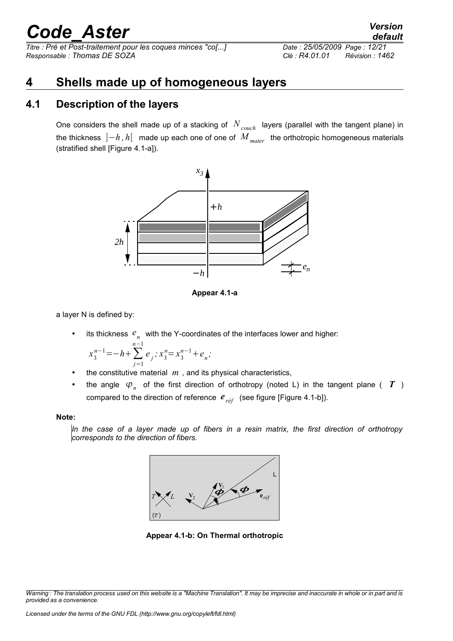*Titre : Pré et Post-traitement pour les coques minces "co[...] Date : 25/05/2009 Page : 12/21 Responsable : Thomas DE SOZA Clé : R4.01.01 Révision : 1462*

#### <span id="page-11-1"></span>**4 Shells made up of homogeneous layers**

#### **4.1 Description of the layers**

<span id="page-11-0"></span>One considers the shell made up of a stacking of *Ncouch* layers (parallel with the tangent plane) in the thickness ]−*h , h*[ made up each one of one of *M mater* the orthotropic homogeneous materials (stratified shell [Figure 4.1-a]).



**Appear 4.1-a**

a layer N is defined by:

• its thickness  $e_n$  with the Y-coordinates of the interfaces lower and higher:

$$
x_3^{n-1} = -h + \sum_{j=1}^{n-1} e_j, x_3^n = x_3^{n-1} + e_n;
$$

- the constitutive material  $m$ , and its physical characteristics,
- the angle  $\varphi_n$  of the first direction of orthotropy (noted L) in the tangent plane (  $T$  ) compared to the direction of reference  $e_{r\acute{e}f}$  (see figure [Figure 4.1-b]).

#### **Note:**

*In the case of a layer made up of fibers in a resin matrix, the first direction of orthotropy corresponds to the direction of fibers.*



**Appear 4.1-b: On Thermal orthotropic**

*Warning : The translation process used on this website is a "Machine Translation". It may be imprecise and inaccurate in whole or in part and is provided as a convenience.*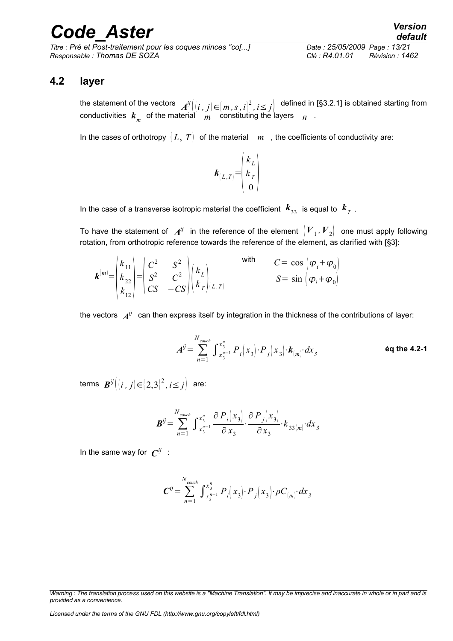*Titre : Pré et Post-traitement pour les coques minces "co[...] Date : 25/05/2009 Page : 13/21 Responsable : Thomas DE SOZA Clé : R4.01.01 Révision : 1462*

#### **4.2 layer**

<span id="page-12-0"></span>the statement of the vectors  $\left|A^{ij}\right|(i\,,j)\!\in\!\left[m\,,s\,,i\right]^{2},i\!\leq\!j\right|\,$  defined in [§3.2.1] is obtained starting from conductivities  $\bm{k}_m^{}$  of the material  $\mid m \mid$  constituting the layers  $\mid n \mid$  .

In the cases of orthotropy  $(L, T)$  of the material  $m$ , the coefficients of conductivity are:



In the case of a transverse isotropic material the coefficient  $\ket{\pmb{k}_{33}}$  is equal to  $\ket{\pmb{k}_T}$  .

To have the statement of  $\;A^{ij}\;$  in the reference of the element  $\left({V}_1,{V}_2\right)\;$  one must apply following rotation, from orthotropic reference towards the reference of the element, as clarified with [§3]:

$$
\boldsymbol{k}^{(m)} = \begin{pmatrix} k_{11} \\ k_{22} \\ k_{12} \end{pmatrix} = \begin{pmatrix} C^2 & S^2 \\ S^2 & C^2 \\ CS & -CS \end{pmatrix} \begin{pmatrix} k_L \\ k_T \end{pmatrix} \begin{pmatrix} \text{with} \\ \text{with} \\ S = \sin \left( \varphi_i + \varphi_0 \right) \end{pmatrix}
$$

the vectors  $\,\,A^{ij}\,\,$  can then express itself by integration in the thickness of the contributions of layer:

$$
A^{ij} = \sum_{n=1}^{N_{\text{couch}}} \int_{x_3^{n-1}}^{x_3^n} P_i(x_3) \cdot P_j(x_3) \cdot k_{(m)} \cdot dx_3
$$

terms  $\boldsymbol{B}^{\vec{y}}\bigl|(i\,,j)\!\in\!\!{\bigl[}\,2,3{\bigr]}^2$  ,  $i\!\leq\!j\bigr\rceil$  are:

$$
\boldsymbol{B}^{ij} = \sum_{n=1}^{N_{\text{couch}}} \int_{x_3^{n-1}}^{x_3^n} \frac{\partial P_i(x_3)}{\partial x_3} \cdot \frac{\partial P_j(x_3)}{\partial x_3} \cdot k_{33(m)} \cdot dx_3
$$

In the same way for  $\mathbf{\mathit{C}}^{ij}\;$  :

$$
\boldsymbol{C}^{ij} = \sum_{n=1}^{N_{\text{couch}}} \int_{x_3^{n-1}}^{x_3^n} P_i(x_3) \cdot P_j(x_3) \cdot \rho C_{(m)} \cdot dx_3
$$

*Warning : The translation process used on this website is a "Machine Translation". It may be imprecise and inaccurate in whole or in part and is provided as a convenience.*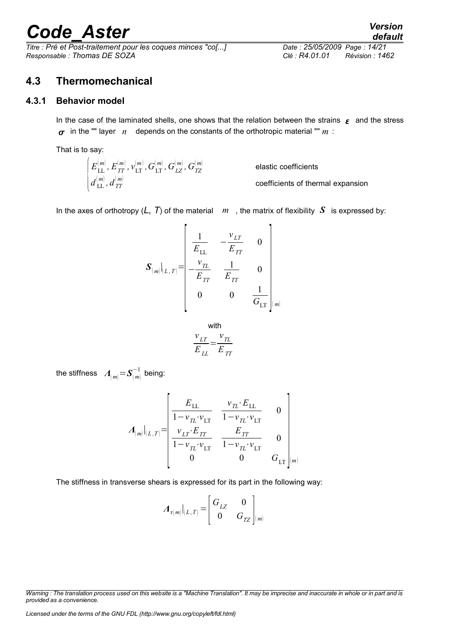*Titre : Pré et Post-traitement pour les coques minces "co[...] Date : 25/05/2009 Page : 14/21 Responsable : Thomas DE SOZA Clé : R4.01.01 Révision : 1462*

#### <span id="page-13-1"></span>**4.3 Thermomechanical**

#### **4.3.1 Behavior model**

<span id="page-13-0"></span>In the case of the laminated shells, one shows that the relation between the strains  $\epsilon$  and the stress  $\sigma$  in the "" layer *n* depends on the constants of the orthotropic material "" *m* :

That is to say:

 $d_{\rm LL}^{(m)}$  ,  $d_{\rm TT}^{(m)}$  $E^{(m)}_{\rm LL}$  *,*  $E^{(m)}_{TT}$  *,*  $v^{(m)}_{\rm LT}$  $\mathcal{G}^{(m)}_\mathrm{LT}$  *,*  $G^{(m)}_{LZ}$  *,*  $G^{(m)}_{TZ}$ elastic coefficients coefficients of thermal expansion

In the axes of orthotropy  $(L, T)$  of the material  $m$ , the matrix of flexibility  $S$  is expressed by:

$$
\mathbf{S}_{(m)}|_{(L,T)} = \begin{bmatrix} \frac{1}{E_{\text{LL}}} & -\frac{v_{LT}}{E_{TT}} & 0 \\ -\frac{v_{TL}}{E_{TT}} & \frac{1}{E_{TT}} & 0 \\ 0 & 0 & \frac{1}{G_{\text{LT}}} \end{bmatrix}_{(m)}
$$

with  
\n
$$
\frac{v_{LT}}{E_{LL}} = \frac{v_{TL}}{E_{TT}}
$$

the stiffness  $\mathcal{A}_{[m]} = \mathcal{S}^{-1}_{[m]}$  being:

$$
A_{\{m\}}|_{[L,T]} = \begin{bmatrix} E_{\text{LL}} & v_{\text{TL}} \cdot E_{\text{LL}} & 0 \\ \frac{1 - v_{\text{TL}} \cdot v_{\text{LT}}}{1 - v_{\text{TL}} \cdot v_{\text{LT}}} & \frac{E_{\text{TT}}}{1 - v_{\text{TL}} \cdot v_{\text{LT}}} & 0 \\ \frac{v_{\text{LT}} \cdot E_{\text{TT}}}{1 - v_{\text{TL}} \cdot v_{\text{LT}}} & \frac{E_{\text{TT}}}{1 - v_{\text{TL}} \cdot v_{\text{LT}}} & 0 \\ 0 & 0 & G_{\text{LT}} \end{bmatrix}_{\{m\}}
$$

The stiffness in transverse shears is expressed for its part in the following way:

$$
\boldsymbol{A}_{\tau(m)}\big|_{(L,T)} = \begin{bmatrix} G_{LZ} & 0 \\ 0 & G_{TZ} \end{bmatrix}_{(m)}
$$

*Licensed under the terms of the GNU FDL (http://www.gnu.org/copyleft/fdl.html)*

*Warning : The translation process used on this website is a "Machine Translation". It may be imprecise and inaccurate in whole or in part and is provided as a convenience.*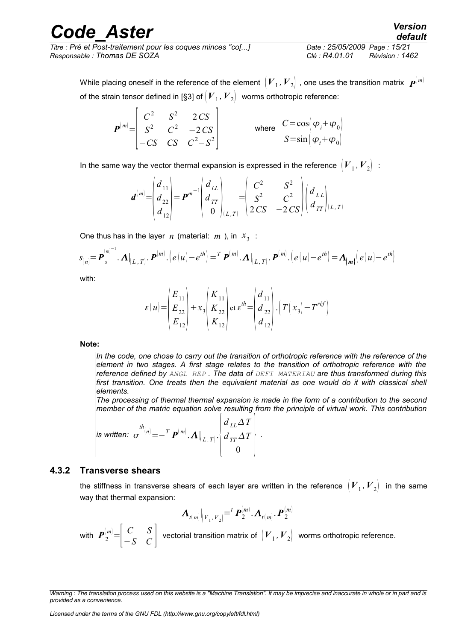*Titre : Pré et Post-traitement pour les coques minces "co[...] Date : 25/05/2009 Page : 15/21 Responsable : Thomas DE SOZA Clé : R4.01.01 Révision : 1462*

While placing oneself in the reference of the element  $\,big| \, {V}_1, {V}_2 \big| \,$  , one uses the transition matrix  $\,$   $\bm{P}^{(\,m)}$ of the strain tensor defined in [§3] of  $\left({\bm {\cal V}}_1,{\bm {\cal V}}_2\right] \;$  worms orthotropic reference:

$$
\boldsymbol{P}^{[m]} = \begin{bmatrix} C^2 & S^2 & 2\,CS \\ S^2 & C^2 & -2\,CS \\ -CS & CS & C^2 - S^2 \end{bmatrix} \qquad \text{where} \quad \begin{aligned} C = \cos\left(\varphi_i + \varphi_0\right) \\ S = \sin\left(\varphi_i + \varphi_0\right) \end{aligned}
$$

In the same way the vector thermal expansion is expressed in the reference  $\,\left|\,V_{_{|1}},V_{_{|2}}\right|\,$  :

$$
\boldsymbol{d}^{(m)} = \begin{pmatrix} d_{11} \\ d_{22} \\ d_{12} \end{pmatrix} = \boldsymbol{P}^{m-1} \begin{pmatrix} d_{LL} \\ d_{TT} \\ 0 \end{pmatrix}_{(L,T)} = \begin{pmatrix} C^2 & S^2 \\ S^2 & C^2 \\ 2CS & -2CS \end{pmatrix} \begin{pmatrix} d_{LL} \\ d_{TT} \end{pmatrix}_{(L,T)}
$$

One thus has in the layer *n* (material: *m* ), in  $x_3$  :

$$
s_{n} = \boldsymbol{P}_{s}^{(m)^{-1}}.\boldsymbol{\Lambda} |_{(L,T)}.\boldsymbol{P}^{(m)}.\big(\boldsymbol{e}(\boldsymbol{u}) - \boldsymbol{e}^{t\boldsymbol{h}}\big) = \boldsymbol{T} \, \boldsymbol{P}^{(m)}.\boldsymbol{\Lambda} |_{(L,T)}.\boldsymbol{P}^{(m)}.\big(\boldsymbol{e}(\boldsymbol{u}) - \boldsymbol{e}^{t\boldsymbol{h}}\big) = \boldsymbol{\Lambda}_{(m)}\big(\boldsymbol{e}(\boldsymbol{u}) - \boldsymbol{e}^{t\boldsymbol{h}}\big)
$$

with:

$$
\varepsilon(u) = \begin{pmatrix} E_{11} \\ E_{22} \\ E_{12} \end{pmatrix} + x_3 \begin{pmatrix} K_{11} \\ K_{22} \\ K_{12} \end{pmatrix} \text{ et } \varepsilon^{th} = \begin{pmatrix} d_{11} \\ d_{22} \\ d_{12} \end{pmatrix} \cdot \left( T(x_3) - T^{ref} \right)
$$

**Note:**

*In the code, one chose to carry out the transition of orthotropic reference with the reference of the element in two stages. A first stage relates to the transition of orthotropic reference with the reference defined by ANGL\_REP . The data of DEFI\_MATERIAU are thus transformed during this* first transition. One treats then the equivalent material as one would do it with classical shell *elements.*

*The processing of thermal thermal expansion is made in the form of a contribution to the second member of the matric equation solve resulting from the principle of virtual work. This contribution*

.

$$
\left| \text{ is written: } \sigma^{th}_{\text{min}} = -\frac{T}{\rho^{(m)}} \mathbf{A} \big|_{(L,T)} \cdot \begin{cases} d_{LL} \Delta T \\ d_{TT} \Delta T \\ 0 \end{cases} \right|.
$$

#### **4.3.2 Transverse shears**

<span id="page-14-0"></span>the stiffness in transverse shears of each layer are written in the reference  $\,\left|\,V_{\,1},V_{\,2}\right|\,$  in the same way that thermal expansion:

$$
\boldsymbol{\Lambda}_{t(m)}\big|_{(V_1, V_2)} = \n\boldsymbol{\mu}_{2}^{(m)}.\boldsymbol{\Lambda}_{t(m)}.\boldsymbol{\boldsymbol{P}}_{2}^{(m)}
$$

with  $\left| \begin{array}{cc} \boldsymbol{P}^{(m)}_2 = \begin{array}{c} C & S \ -S & C \end{array} \right|$  $\begin{bmatrix} C & S \\ -S & C \end{bmatrix}$  vectorial transition matrix of  $(V_1, V_2)$  worms orthotropic reference.

*Warning : The translation process used on this website is a "Machine Translation". It may be imprecise and inaccurate in whole or in part and is provided as a convenience.*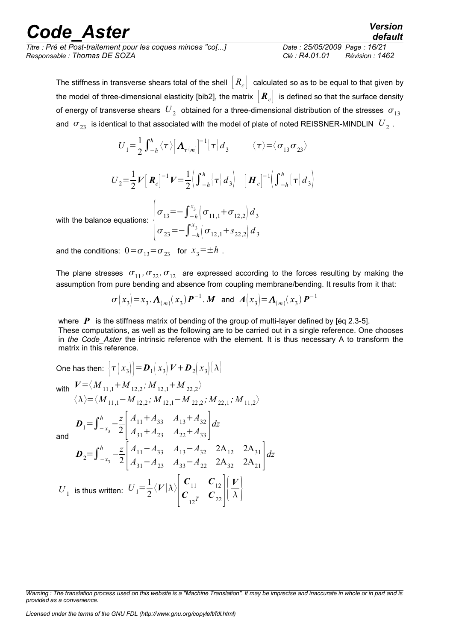| <b>Code Aster</b>                                           | <b>Version</b><br>default         |  |
|-------------------------------------------------------------|-----------------------------------|--|
| Titre : Pré et Post-traitement pour les coques minces "co[] | Date: 25/05/2009 Page: 16/21      |  |
| Responsable : Thomas DE SOZA                                | Clé : R4.01.01<br>Révision : 1462 |  |

The stiffness in transverse shears total of the shell  $[R_c]$  calculated so as to be equal to that given by the model of three-dimensional elasticity [bib2], the matrix  $\|R_c\|$  is defined so that the surface density of energy of transverse shears  $\left. U_{\,_{2}}\right.$  obtained for a three-dimensional distribution of the stresses  $\left. \sigma_{_{13}}\right.$ and  $\; \sigma_{23} \;$  is identical to that associated with the model of plate of noted REISSNER-MINDLIN  $\; U_{\,2} \;$  .

$$
U_1 = \frac{1}{2} \int_{-h}^{h} \langle \tau \rangle \Big[ \Lambda_{\tau(m)} \Big]^{-1} \Big[ \tau \Big] d_3 \qquad \langle \tau \rangle = \langle \sigma_{13} \sigma_{23} \rangle
$$

$$
U_2 = \frac{1}{2} V [\mathbf{R}_c]^{-1} V = \frac{1}{2} \Big( \int_{-h}^{h} [\tau] d_3 \Big) [\mathbf{H}_c]^{-1} \Big( \int_{-h}^{h} [\tau] d_3 \Big)
$$

with the balance equations:  $|\sigma_{\gamma'}|$  $\sigma_{13} = -\int_{-h}^{x_3} \left( \sigma_{11,1} + \sigma_{12,2} \right) d_3$ 

$$
\sigma_{23} = -\int_{-h}^{x_3} \left( \sigma_{12,1} + s_{22,2} \right) d_3
$$

and the conditions:  $0 = \sigma_{13} = \sigma_{23}$  for  $x_3 = \pm h$ .

The plane stresses  $\sigma_{11}$ ,  $\sigma_{22}$ ,  $\sigma_{12}$  are expressed according to the forces resulting by making the assumption from pure bending and absence from coupling membrane/bending. It results from it that:

$$
\sigma(x_3) = x_3 \cdot A_{(m)}(x_3) P^{-1} \cdot M
$$
 and  $A(x_3) = A_{(m)}(x_3) P^{-1}$ 

where  $P$  is the stiffness matrix of bending of the group of multi-layer defined by [éq 2.3-5]. These computations, as well as the following are to be carried out in a single reference. One chooses in *the Code\_Aster* the intrinsic reference with the element. It is thus necessary A to transform the matrix in this reference.

One has then:  $\left|\tau\left(x_{3}\right)\right|$   $=$   $\bm{D}_{1}\!\left(x_{3}\right)$   $V$   $+$   $\bm{D}_{2}\!\left(x_{3}\right)\!\left|\lambda\right|$ with  $V = \langle M_{11,1} + M_{12,2}$ ;  $M_{12,1} + M_{22,2} \rangle$  $\langle \lambda \rangle = \langle M_{11,1} - M_{12,2}$ ;  $M_{12,1} - M_{22,2}$ ;  $M_{22,1}$ ;  $M_{11,2}$ and  $\bm{D}_1=\int_{-\bm{x}_3}^{n}$  $\frac{h}{-x} - \frac{z}{2}$  $2 \mid$   $\angle$  $A_{11} + A_{33}$   $A_{13} + A_{32}$  $A_{31} + A_{23} \quad A_{22} + A_{33}$ *dz*  $\bm{D}_2 = \int_{-\bm{x}_3}^{\bm{n}}$  $\frac{h}{a}$   $-\frac{z}{2}$  $2 \mid A$  $A_{11} - A_{33}$   $A_{13} - A_{32}$  2A<sub>12</sub> 2A<sub>31</sub>  $A_{31} - A_{23}$   $A_{33} - A_{22}$  2A<sub>32</sub> 2A<sub>21</sub> ] *dz*  $U_{1}$  is thus written:  $U_{1}$ = $\frac{1}{2}$ 2  $\langle V|\lambda\rangle$  $\vert$  (  $c_{11}$   $c_{12}$  $c_{_{12}T}$   $c_{_{22}}$   $\vert$   $\rangle$ *V*  $\lambda$  |

*Warning : The translation process used on this website is a "Machine Translation". It may be imprecise and inaccurate in whole or in part and is provided as a convenience.*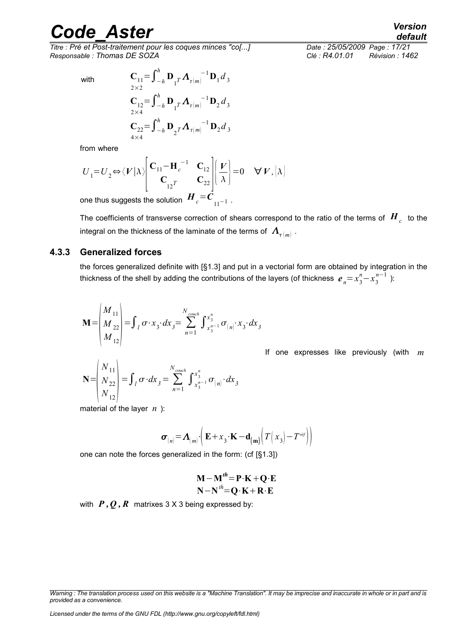*Titre : Pré et Post-traitement pour les coques minces "co[...] Date : 25/05/2009 Page : 17/21 Responsable : Thomas DE SOZA Clé : R4.01.01 Révision : 1462*

with

$$
C_{11} = \int_{-h}^{h} \mathbf{D}_{1} T \Lambda_{\tau(m)}^{-1} \mathbf{D}_{1} d_{3}
$$
  
\n
$$
C_{12} = \int_{-h}^{h} \mathbf{D}_{1} T \Lambda_{\tau(m)}^{-1} \mathbf{D}_{2} d_{3}
$$
  
\n
$$
C_{22} = \int_{-h}^{h} \mathbf{D}_{2} T \Lambda_{\tau(m)}^{-1} \mathbf{D}_{2} d_{3}
$$
  
\n
$$
C_{32} = \int_{-h}^{h} \mathbf{D}_{2} T \Lambda_{\tau(m)}^{-1} \mathbf{D}_{2} d_{3}
$$

from where

$$
U_1 = U_2 \Leftrightarrow \langle V | \lambda \rangle \begin{bmatrix} C_{11} - H_c^{-1} & C_{12} \\ C_{12} & C_{22} \end{bmatrix} \begin{bmatrix} V \\ \lambda \end{bmatrix} = 0 \quad \forall V, [\lambda]
$$

one thus suggests the solution  $\left.H_{\,c}\!=\!\mathcal{C}_{_{[1]}-1}\right.$  .

The coefficients of transverse correction of shears correspond to the ratio of the terms of  $\, {\bm H}_{_C} \,$  to the integral on the thickness of the laminate of the terms of  $\left| {\boldsymbol{A}_{\tau}}_{\left( m \right)} \right|$  .

#### **4.3.3 Generalized forces**

<span id="page-16-0"></span>the forces generalized definite with [§1.3] and put in a vectorial form are obtained by integration in the thickness of the shell by adding the contributions of the layers (of thickness  $\bm{e}_n{=}\frac{x_3^n}{-}x_3^{n-1}$  ):

$$
\mathbf{M} = \begin{pmatrix} M_{11} \\ M_{22} \\ M_{12} \end{pmatrix} = \int_{l} \sigma \cdot x_3 \cdot dx_3 = \sum_{n=1}^{N_{\text{couch}}} \int_{x_3^{n-1}}^{x_3^{n}} \sigma_{(n)} \cdot x_3 \cdot dx_3
$$

If one expresses like previously (with *m*

$$
\mathbf{N} = \begin{pmatrix} N_{11} \\ N_{22} \\ N_{12} \end{pmatrix} = \int_{l} \sigma \cdot dx_{3} = \sum_{n=1}^{N_{\text{couch}}} \int_{x_{3}^{n-1}}^{x_{3}^{n}} \sigma_{(n)} \cdot dx_{3}
$$

material of the layer *n* ):

$$
\boldsymbol{\sigma}_{(n)} = \boldsymbol{\Lambda}_{(m)} \cdot \left( \mathbf{E} + \mathbf{x}_3 \cdot \mathbf{K} - \mathbf{d}_{(m)} \Big| T \Big| \mathbf{x}_3 \Big| - T^{\text{ref}} \Big| \right)
$$

one can note the forces generalized in the form: (cf [§1.3])

$$
M-M''=P\cdot K+Q\cdot E
$$

$$
N-N''=Q\cdot K+R\cdot E
$$

with  $P$ ,  $Q$ ,  $R$  matrixes 3 X 3 being expressed by:

*Warning : The translation process used on this website is a "Machine Translation". It may be imprecise and inaccurate in whole or in part and is provided as a convenience.*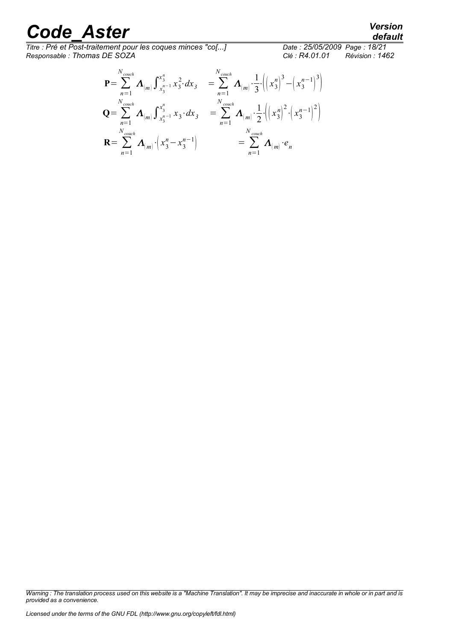*Titre : Pré et Post-traitement pour les coques minces "co[...] Date : 25/05/2009 Page : 18/21 Responsable : Thomas DE SOZA Clé : R4.01.01 Révision : 1462*

$$
\mathbf{P} = \sum_{n=1}^{N_{\text{couch}}} \mathbf{\Lambda}_{(m)} \int_{x_3^{n-1}}^{x_3^n} x_3^2 \cdot dx_3 = \sum_{n=1}^{N_{\text{couch}}} \mathbf{\Lambda}_{(m)} \cdot \frac{1}{3} \cdot \left( \left( x_3^n \right)^3 - \left( x_3^{n-1} \right)^3 \right)
$$
  
\n
$$
\mathbf{Q} = \sum_{n=1}^{N_{\text{couch}}} \mathbf{\Lambda}_{(m)} \int_{x_3^{n-1}}^{x_3^n} x_3 \cdot dx_3 = \sum_{n=1}^{N_{\text{couch}}} \mathbf{\Lambda}_{(m)} \cdot \frac{1}{2} \cdot \left( \left( x_3^n \right)^2 \cdot \left( x_3^{n-1} \right)^2 \right)
$$
  
\n
$$
\mathbf{R} = \sum_{n=1}^{N_{\text{couch}}} \mathbf{\Lambda}_{(m)} \cdot \left( x_3^n - x_3^{n-1} \right) = \sum_{n=1}^{N_{\text{couch}}} \mathbf{\Lambda}_{(m)} \cdot e_n
$$

*default*

*Warning : The translation process used on this website is a "Machine Translation". It may be imprecise and inaccurate in whole or in part and is provided as a convenience.*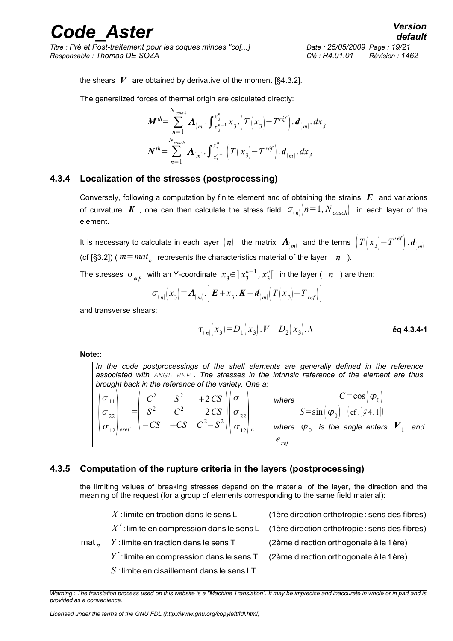*Titre : Pré et Post-traitement pour les coques minces "co[...] Date : 25/05/2009 Page : 19/21 Responsable : Thomas DE SOZA Clé : R4.01.01 Révision : 1462*

*default*

the shears  $V$  are obtained by derivative of the moment  $[§4.3.2]$ .

The generalized forces of thermal origin are calculated directly:

$$
\mathbf{M}^{th} = \sum_{n=1}^{N_{\text{couch}}} \mathbf{\Lambda}_{(m)} \cdot \int_{x_3^{n-1}}^{x_3^n} x_3 \cdot (T(x_3) - T^{ref}) \cdot \mathbf{d}_{(m)} \cdot dx_3
$$

$$
\mathbf{N}^{th} = \sum_{n=1}^{N_{\text{couch}}} \mathbf{\Lambda}_{(m)} \cdot \int_{x_3^{n-1}}^{x_3^n} (T(x_3) - T^{ref}) \cdot \mathbf{d}_{(m)} \cdot dx_3
$$

#### **4.3.4 Localization of the stresses (postprocessing)**

<span id="page-18-1"></span>Conversely, following a computation by finite element and of obtaining the strains *E* and variations of curvature K, one can then calculate the stress field  $\sigma_{n}$   $n=1, N_{\text{couch}}$  in each layer of the element.

It is necessary to calculate in each layer  $\;(n)\;$  , the matrix  $\;\bm\varLambda_{(m)}^{}\;$  and the terms  $\;\left(\varGamma\big(\,x_3\big)\!-\!T^{\,r\acute{e}f}\right). \bm d_{(m)}^{}\;$ (cf [§3.2]) (  $m = mat_n$  represents the characteristics material of the layer *n* ).

The stresses  $\sigma_{\alpha\beta}^-$  with an Y-coordinate  $x^3 \in ]x_3^{n-1},x_3^n[$  in the layer (  $n^-$  ) are then:

$$
\sigma_{(n)}(x_3) = \mathbf{\Lambda}_{(m)} \cdot \left[ \mathbf{E} + x_3 \cdot \mathbf{K} - \mathbf{d}_{(m)} \left( T(x_3) - T_{\text{ref}} \right) \right]
$$

and transverse shears:

*<sup>n</sup> x*<sup>3</sup> =*D*<sup>1</sup> *x*3 .*VD*<sup>2</sup> *x*3 . **éq 4.3.4-1**

**Note::**

*In the code postprocessings of the shell elements are generally defined in the reference associated with ANGL\_REP . The stresses in the intrinsic reference of the element are thus brought back in the reference of the variety. One a:*

 $\vert \sigma \vert$  $\sigma_{11}$  $\sigma_{22}$  $\sigma_{12}$  eref  $=\begin{bmatrix} S \end{bmatrix}$  $C^2$   $S^2$  +2*CS*  $S^2$  *C*<sup>2</sup> −2*CS*  $-CS$  +*CS*  $C^2 - S^2$   $\left| \frac{2}{\sigma_1} \right|$  $\sigma_{11}$  $\sigma_{22}$  $\sigma_{12}$  *n Where*  $C = \cos \left( \varphi_0 \right)$  $S = \sin \left( \varphi_0 \right) \left[ \text{cf.} \left[ \text{S4.1} \right] \right)$ where  $\varphi_{_{0}}$  is the angle enters  $\overline{V}_{_{1}}$  and *e réf*

#### **4.3.5 Computation of the rupture criteria in the layers (postprocessing)**

<span id="page-18-0"></span>the limiting values of breaking stresses depend on the material of the layer, the direction and the meaning of the request (for a group of elements corresponding to the same field material):

|                  | $\perp X$ : limite en traction dans le sens L                                      | (1ère direction orthotropie : sens des fibres)                                                  |
|------------------|------------------------------------------------------------------------------------|-------------------------------------------------------------------------------------------------|
|                  |                                                                                    | $\mid X'$ : limite en compression dans le sens L (1ère direction orthotropie : sens des fibres) |
| $\mathsf{mat}_n$ | $\mid Y$ : limite en traction dans le sens T                                       | (2ème direction orthogonale à la 1ère)                                                          |
|                  | $Y'$ : limite en compression dans le sens T (2ème direction orthogonale à la 1ère) |                                                                                                 |
|                  | $S$ : limite en cisaillement dans le sens LT                                       |                                                                                                 |

*Warning : The translation process used on this website is a "Machine Translation". It may be imprecise and inaccurate in whole or in part and is provided as a convenience.*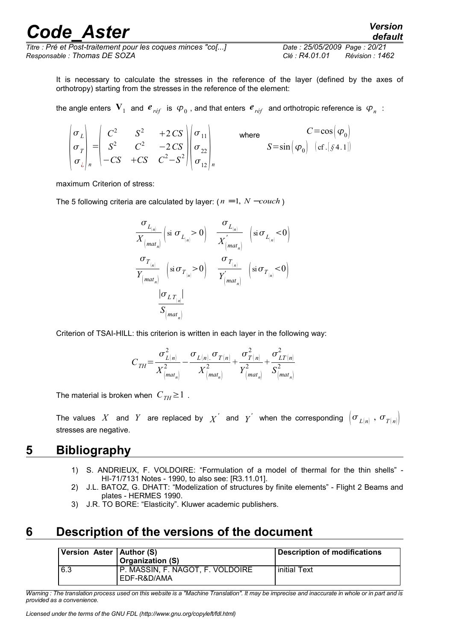*Titre : Pré et Post-traitement pour les coques minces "co[...] Date : 25/05/2009 Page : 20/21 Responsable : Thomas DE SOZA Clé : R4.01.01 Révision : 1462*

It is necessary to calculate the stresses in the reference of the layer (defined by the axes of orthotropy) starting from the stresses in the reference of the element:

the angle enters  $\bm{V}_1$  and  $\bm{e}_{r\acute{e}f}$  is  $\bm{\varphi}_0$  , and that enters  $\bm{e}_{r\acute{e}f}$  and orthotropic reference is  $\bm{\varphi}_n$  :

 $\vert \sigma \vert$  $\sigma_L^2$  $\sigma_{\overline{I}}$  $\sigma_{\iota}|_n$  $=\begin{bmatrix} S \\ S \end{bmatrix}$  $C^2$   $S^2$   $+2CS$  $S^2$  *C*<sup>2</sup> −2*CS*  $-CS$  +*CS*  $C^2-S^2\Big|\Big|\frac{2}{\sigma_1}$  $\sigma_{11}$  $\sigma_{22}$  $\sigma_{12}$ <sub>n</sub> where  $C = \cos \left( \varphi_0 \right)$  $S = \sin \left( \varphi_0 \right) \left[ \text{cf.} \left[ \text{S4.1} \right] \right)$ 

maximum Criterion of stress:

The 5 following criteria are calculated by layer:  $(n = 1, N - \text{couch})$ 

$$
\frac{\sigma_{L_{\lvert n\rvert}}}{X_{\lvert mat_{n}\rvert}}\left(\text{si}\ \sigma_{L_{\lvert n\rvert}} > 0\right) \quad \frac{\sigma_{L_{\lvert n\rvert}}}{X_{\lvert mat_{n}\rvert}^{\prime}} \quad \left(\text{si}\ \sigma_{L_{\lvert n\rvert}} < 0\right)
$$
\n
$$
\frac{\sigma_{T_{\lvert n\rvert}}}{Y_{\lvert mat_{n}\rvert}} \quad \left(\text{si}\ \sigma_{T_{\lvert n\rvert}} > 0\right) \quad \frac{\sigma_{T_{\lvert n\rvert}}}{Y_{\lvert mat_{n}\rvert}} \quad \left(\text{si}\ \sigma_{T_{\lvert n\rvert}} < 0\right)
$$
\n
$$
\frac{|\sigma_{LT_{\lvert n\rvert}}|}{S_{\lvert mat_{n}\rvert}}
$$

Criterion of TSAI-HILL: this criterion is written in each layer in the following way:

$$
C_{TH} = \frac{\sigma_{L(n)}^2}{X_{(mat_n)}^2} - \frac{\sigma_{L(n),} \sigma_{T(n)}}{X_{(mat_n)}^2} + \frac{\sigma_{T(n)}^2}{Y_{(mat_n)}^2} + \frac{\sigma_{LT(n)}^2}{S_{(mat_n)}^2}
$$

The material is broken when  $C_{TH} \geq 1$ .

The values  $X$  and  $Y$  are replaced by  $X^{'}$  and  $Y^{'}$  when the corresponding  $\left(\sigma_{L(n)}\right.,$   $\sigma_{T(n)}\right)$ stresses are negative.

### **5 Bibliography**

- <span id="page-19-1"></span>1) S. ANDRIEUX, F. VOLDOIRE: "Formulation of a model of thermal for the thin shells" - HI-71/7131 Notes - 1990, to also see: [R3.11.01].
- 2) J.L. BATOZ, G. DHATT: "Modelization of structures by finite elements" Flight 2 Beams and plates - HERMES 1990.
- 3) J.R. TO BORE: "Elasticity". Kluwer academic publishers.

### **6 Description of the versions of the document**

<span id="page-19-0"></span>

| Version Aster   Author (S) | <b>Organization (S)</b>                         | Description of modifications |
|----------------------------|-------------------------------------------------|------------------------------|
| 6.3                        | P. MASSIN, F. NAGOT, F. VOLDOIRE<br>EDF-R&D/AMA | initial Text                 |

*Warning : The translation process used on this website is a "Machine Translation". It may be imprecise and inaccurate in whole or in part and is provided as a convenience.*